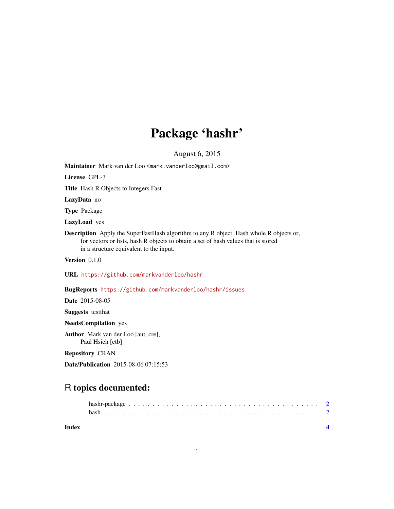## Package 'hashr'

August 6, 2015

<span id="page-0-0"></span>Maintainer Mark van der Loo <mark.vanderloo@gmail.com>

License GPL-3

Title Hash R Objects to Integers Fast

LazyData no

Type Package

LazyLoad yes

Description Apply the SuperFastHash algorithm to any R object. Hash whole R objects or, for vectors or lists, hash R objects to obtain a set of hash values that is stored in a structure equivalent to the input.

Version 0.1.0

URL <https://github.com/markvanderloo/hashr>

BugReports <https://github.com/markvanderloo/hashr/issues>

Date 2015-08-05

Suggests testthat

NeedsCompilation yes

Author Mark van der Loo [aut, cre], Paul Hsieh [ctb]

Repository CRAN

Date/Publication 2015-08-06 07:15:53

### R topics documented:

| Index |  |  |  |  |  |  |  |  |  |  |  |  |  |  |  |  |  |  |  |
|-------|--|--|--|--|--|--|--|--|--|--|--|--|--|--|--|--|--|--|--|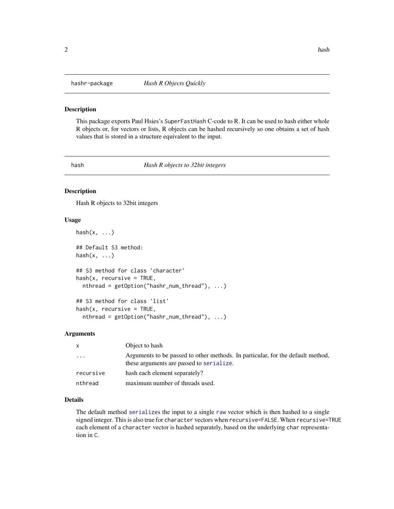<span id="page-1-0"></span>

#### Description

This package exports Paul Hsies's SuperFastHash C-code to R. It can be used to hash either whole R objects or, for vectors or lists, R objects can be hashed recursively so one obtains a set of hash values that is stored in a structure equivalent to the input.

hash *Hash R objects to 32bit integers*

#### Description

Hash R objects to 32bit integers

#### Usage

```
hash(x, \ldots)## Default S3 method:
hash(x, \ldots)## S3 method for class 'character'
hash(x, recursive = TRUE,
  nthread = getOption("hashr_num_thread"), ...)
## S3 method for class 'list'
hash(x, recursive = TRUE,
```
nthread = getOption("hashr\_num\_thread"), ...)

#### Arguments

| $\mathsf{x}$ | Object to hash                                                                                                              |
|--------------|-----------------------------------------------------------------------------------------------------------------------------|
| .            | Arguments to be passed to other methods. In particular, for the default method,<br>these arguments are passed to serialize. |
| recursive    | hash each element separately?                                                                                               |
| nthread      | maximum number of threads used.                                                                                             |

#### Details

The default method [serialize](#page-0-0)s the input to a single [raw](#page-0-0) vector which is then hashed to a single signed integer. This is also true for character vectors when recursive=FALSE. When recursive=TRUE each element of a character vector is hashed separately, based on the underlying char representation in C.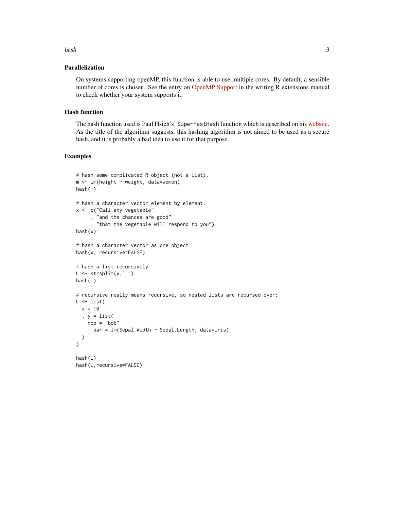### Parallelization

On systems supporting openMP, this function is able to use multiple cores. By default, a sensible number of cores is chosen. See the entry on [OpenMP Support](https://cran.r-project.org/doc/manuals/r-release/R-exts.html#OpenMP-support) in the writing R extensions manual to check whether your system supports it.

#### Hash function

The hash function used is Paul Hsieh's' SuperFastHash function which is described on his [website.](http://www.azillionmonkeys.com/qed/hash.html) As the title of the algorithm suggests, this hashing algorithm is not aimed to be used as a secure hash, and it is probably a bad idea to use it for that purpose.

#### Examples

```
# hash some complicated R object (not a list).
m <- lm(height ~ weight, data=women)
hash(m)
# hash a character vector element by element:
x <- c("Call any vegetable"
     , "and the chances are good"
      , "that the vegetable will respond to you")
hash(x)
# hash a character vector as one object:
hash(x, recursive=FALSE)
# hash a list recursively
L \leftarrow \text{strsplit}(x, "")hash(L)
# recursive really means recursive, so nested lists are recursed over:
L \leftarrow list(x = 10, y = list(
    foo = "bob"
    , bar = lm(Sepal.Width \sim Sepal.Length, data=iris))
)
hash(L)
hash(L,recursive=FALSE)
```